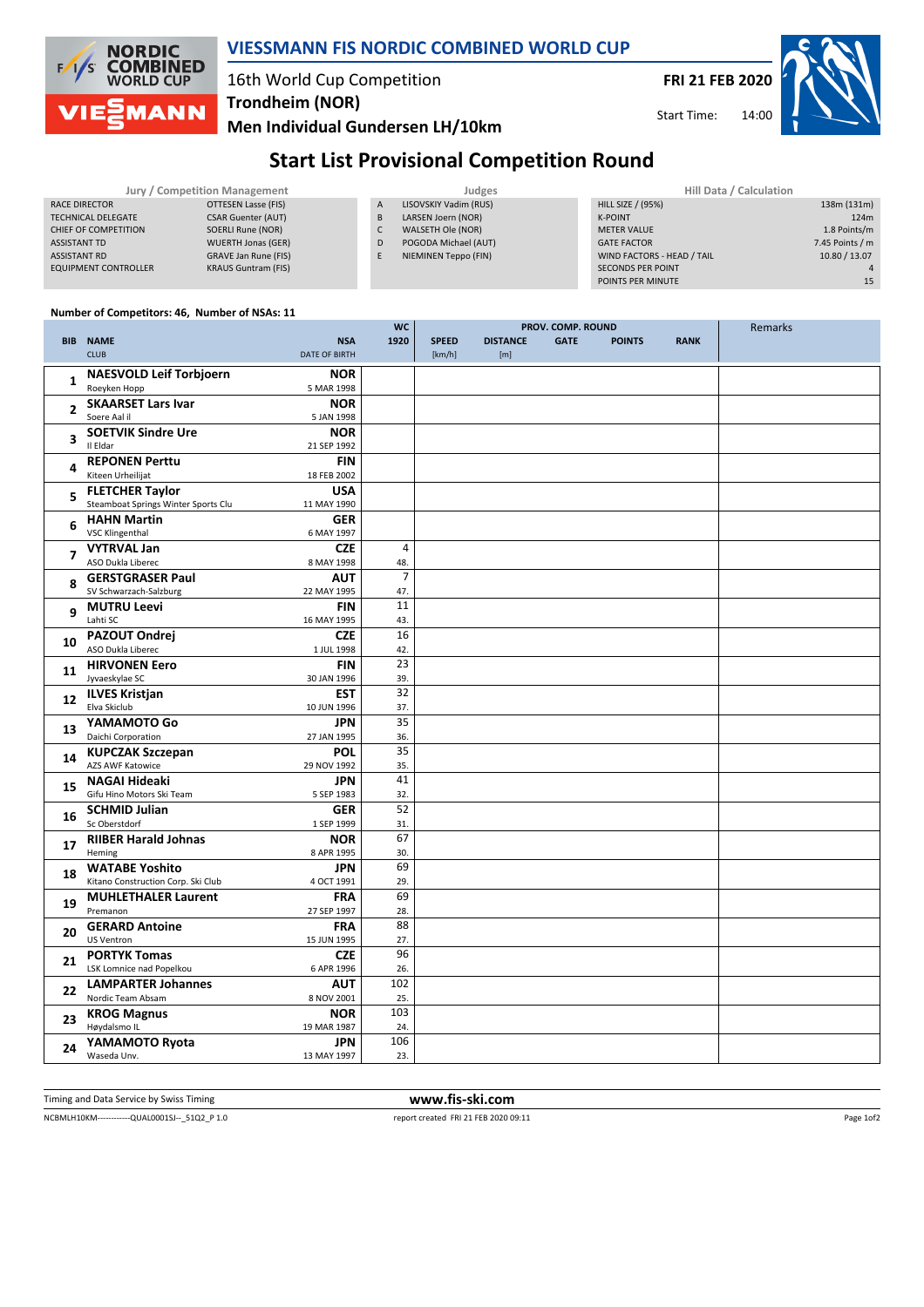

## **VIESSMANN FIS NORDIC COMBINED WORLD CUP**

## 16th World Cup Competition **Trondheim (NOR)**

Men Individual Gundersen LH/10km

**FRI 21 FEB 2020** 

Start Time:  $14.00$ 



# **Start List Provisional Competition Round**

| Jury / Competition Management |                            |                | Judges                | Hill Data / Calculation    |                 |  |
|-------------------------------|----------------------------|----------------|-----------------------|----------------------------|-----------------|--|
| RACE DIRECTOR                 | OTTESEN Lasse (FIS)        | $\overline{A}$ | LISOVSKIY Vadim (RUS) | <b>HILL SIZE / (95%)</b>   | 138m (131m)     |  |
| <b>TECHNICAL DELEGATE</b>     | <b>CSAR Guenter (AUT)</b>  | B              | LARSEN Joern (NOR)    | <b>K-POINT</b>             | 124m            |  |
| CHIEF OF COMPETITION          | SOERLI Rune (NOR)          |                | WALSETH Ole (NOR)     | <b>METER VALUE</b>         | 1.8 Points/m    |  |
| ASSISTANT TD                  | <b>WUERTH Jonas (GER)</b>  | D              | POGODA Michael (AUT)  | <b>GATE FACTOR</b>         | 7.45 Points / m |  |
| <b>ASSISTANT RD</b>           | GRAVE Jan Rune (FIS)       |                | NIEMINEN Teppo (FIN)  | WIND FACTORS - HEAD / TAIL | 10.80 / 13.07   |  |
| <b>EQUIPMENT CONTROLLER</b>   | <b>KRAUS Guntram (FIS)</b> |                |                       | <b>SECONDS PER POINT</b>   |                 |  |
|                               |                            |                |                       | POINTS PER MINUTE          | 15              |  |

#### Number of Competitors: 46, Number of NSAs: 11

|                         |                                                    | wc                           |              |                 | <b>PROV. COMP. ROUND</b> |               |             | Remarks |
|-------------------------|----------------------------------------------------|------------------------------|--------------|-----------------|--------------------------|---------------|-------------|---------|
|                         | <b>BIB NAME</b>                                    | <b>NSA</b><br>1920           | <b>SPEED</b> | <b>DISTANCE</b> | <b>GATE</b>              | <b>POINTS</b> | <b>RANK</b> |         |
|                         | <b>CLUB</b><br><b>DATE OF BIRTH</b>                |                              | [km/h]       | [m]             |                          |               |             |         |
|                         |                                                    |                              |              |                 |                          |               |             |         |
| $\mathbf{1}$            | <b>NAESVOLD Leif Torbjoern</b>                     | <b>NOR</b>                   |              |                 |                          |               |             |         |
|                         | Roeyken Hopp<br>5 MAR 1998                         |                              |              |                 |                          |               |             |         |
| $\overline{2}$          | <b>SKAARSET Lars Ivar</b>                          | <b>NOR</b>                   |              |                 |                          |               |             |         |
|                         | Soere Aal il<br>5 JAN 1998                         |                              |              |                 |                          |               |             |         |
|                         | <b>SOETVIK Sindre Ure</b>                          | <b>NOR</b>                   |              |                 |                          |               |             |         |
| 3                       | Il Eldar<br>21 SEP 1992                            |                              |              |                 |                          |               |             |         |
|                         |                                                    |                              |              |                 |                          |               |             |         |
| 4                       | <b>REPONEN Perttu</b>                              | <b>FIN</b>                   |              |                 |                          |               |             |         |
|                         | Kiteen Urheilijat<br>18 FEB 2002                   |                              |              |                 |                          |               |             |         |
| 5                       | <b>FLETCHER Taylor</b>                             | <b>USA</b>                   |              |                 |                          |               |             |         |
|                         | Steamboat Springs Winter Sports Clu<br>11 MAY 1990 |                              |              |                 |                          |               |             |         |
|                         | <b>HAHN Martin</b>                                 | <b>GER</b>                   |              |                 |                          |               |             |         |
| 6                       | <b>VSC Klingenthal</b><br>6 MAY 1997               |                              |              |                 |                          |               |             |         |
|                         | <b>VYTRVAL Jan</b>                                 | $\overline{4}$               |              |                 |                          |               |             |         |
| $\overline{\mathbf{z}}$ |                                                    | <b>CZE</b>                   |              |                 |                          |               |             |         |
|                         | ASO Dukla Liberec<br>8 MAY 1998                    | 48.                          |              |                 |                          |               |             |         |
| 8                       | <b>GERSTGRASER Paul</b>                            | $\overline{7}$<br><b>AUT</b> |              |                 |                          |               |             |         |
|                         | SV Schwarzach-Salzburg<br>22 MAY 1995              | 47.                          |              |                 |                          |               |             |         |
|                         | <b>MUTRU Leevi</b>                                 | 11<br><b>FIN</b>             |              |                 |                          |               |             |         |
| 9                       | Lahti SC<br>16 MAY 1995                            | 43.                          |              |                 |                          |               |             |         |
|                         | PAZOUT Ondrej                                      | 16<br><b>CZE</b>             |              |                 |                          |               |             |         |
| 10                      | ASO Dukla Liberec                                  |                              |              |                 |                          |               |             |         |
|                         | 1 JUL 1998                                         | 42.                          |              |                 |                          |               |             |         |
| 11                      | <b>HIRVONEN Eero</b>                               | 23<br><b>FIN</b>             |              |                 |                          |               |             |         |
|                         | Jyvaeskylae SC<br>30 JAN 1996                      | 39.                          |              |                 |                          |               |             |         |
| 12                      | <b>ILVES Kristjan</b>                              | 32<br><b>EST</b>             |              |                 |                          |               |             |         |
|                         | Elva Skiclub<br>10 JUN 1996                        | 37.                          |              |                 |                          |               |             |         |
|                         | YAMAMOTO Go                                        | 35<br><b>JPN</b>             |              |                 |                          |               |             |         |
| 13                      | Daichi Corporation<br>27 JAN 1995                  | 36.                          |              |                 |                          |               |             |         |
|                         |                                                    | 35                           |              |                 |                          |               |             |         |
| 14                      | <b>KUPCZAK Szczepan</b>                            | POL                          |              |                 |                          |               |             |         |
|                         | AZS AWF Katowice<br>29 NOV 1992                    | 35.                          |              |                 |                          |               |             |         |
| 15                      | <b>NAGAI Hideaki</b>                               | 41<br><b>JPN</b>             |              |                 |                          |               |             |         |
|                         | Gifu Hino Motors Ski Team<br>5 SEP 1983            | 32.                          |              |                 |                          |               |             |         |
|                         | <b>SCHMID Julian</b>                               | 52<br><b>GER</b>             |              |                 |                          |               |             |         |
| 16                      | Sc Oberstdorf<br>1 SEP 1999                        | 31.                          |              |                 |                          |               |             |         |
|                         | <b>RIIBER Harald Johnas</b>                        | 67<br><b>NOR</b>             |              |                 |                          |               |             |         |
| 17                      | Heming<br>8 APR 1995                               | 30.                          |              |                 |                          |               |             |         |
|                         |                                                    |                              |              |                 |                          |               |             |         |
| 18                      | <b>WATABE Yoshito</b>                              | 69<br><b>JPN</b>             |              |                 |                          |               |             |         |
|                         | Kitano Construction Corp. Ski Club<br>4 OCT 1991   | 29.                          |              |                 |                          |               |             |         |
| 19                      | <b>MUHLETHALER Laurent</b>                         | 69<br><b>FRA</b>             |              |                 |                          |               |             |         |
|                         | Premanon<br>27 SEP 1997                            | 28.                          |              |                 |                          |               |             |         |
|                         | <b>GERARD Antoine</b>                              | 88<br><b>FRA</b>             |              |                 |                          |               |             |         |
| 20                      | <b>US Ventron</b><br>15 JUN 1995                   | 27.                          |              |                 |                          |               |             |         |
|                         | <b>PORTYK Tomas</b>                                | 96<br><b>CZE</b>             |              |                 |                          |               |             |         |
| 21                      | LSK Lomnice nad Popelkou<br>6 APR 1996             | 26.                          |              |                 |                          |               |             |         |
|                         |                                                    |                              |              |                 |                          |               |             |         |
| 22                      | <b>LAMPARTER Johannes</b>                          | 102<br>AUT                   |              |                 |                          |               |             |         |
|                         | Nordic Team Absam<br>8 NOV 2001                    | 25.                          |              |                 |                          |               |             |         |
| 23                      | <b>KROG Magnus</b>                                 | 103<br><b>NOR</b>            |              |                 |                          |               |             |         |
|                         | Høydalsmo IL<br>19 MAR 1987                        | 24.                          |              |                 |                          |               |             |         |
|                         | YAMAMOTO Ryota                                     | 106<br><b>JPN</b>            |              |                 |                          |               |             |         |
| 24                      | Waseda Unv.<br>13 MAY 1997                         | 23.                          |              |                 |                          |               |             |         |
|                         |                                                    |                              |              |                 |                          |               |             |         |

Timing and Data Service by Swiss Timing

www.fis-ski.com

NCBMLH10KM-------------QUAL0001SJ--\_51Q2\_P 1.0

report created FRI 21 FEB 2020 09:11